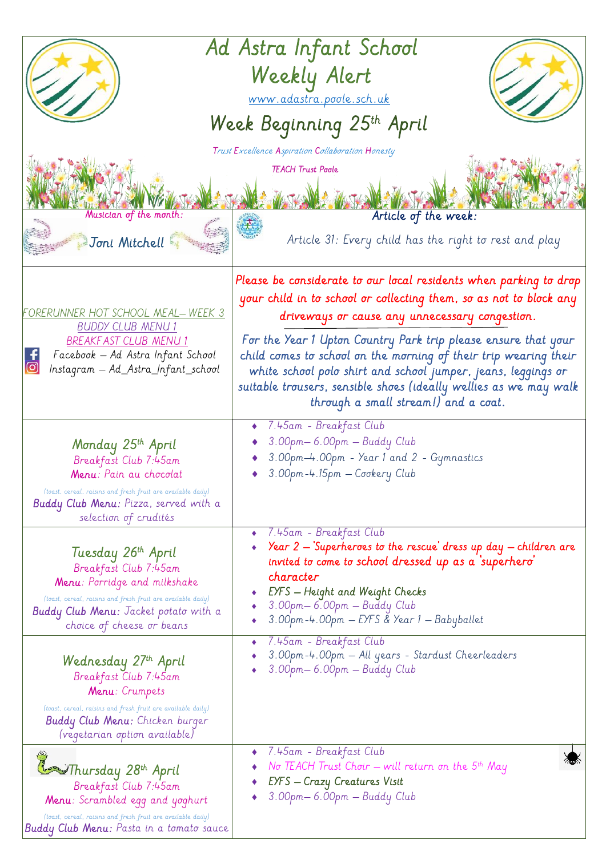| Ad Astra Infant School<br>Weekly Alert<br>www.adastra.poole.sch.uk<br>Week Beginning 25th April                                                                                                                          |                                                                                                                                                                                                                                                                                                                                                                                                                                                                                                               |
|--------------------------------------------------------------------------------------------------------------------------------------------------------------------------------------------------------------------------|---------------------------------------------------------------------------------------------------------------------------------------------------------------------------------------------------------------------------------------------------------------------------------------------------------------------------------------------------------------------------------------------------------------------------------------------------------------------------------------------------------------|
| Musician of the month:<br>Joni Mitchell                                                                                                                                                                                  | Trust Excellence Aspiration Collaboration Honesty<br><b>TEACH Trust Poole</b><br>Article of the week:<br>Article 31: Every child has the right to rest and play                                                                                                                                                                                                                                                                                                                                               |
| FORERUNNER HOT SCHOOL MEAL—WEEK 3<br><b>BUDDY CLUB MENU 1</b><br><b>BREAKFAST CLUB MENU 1</b><br>Facebook - Ad Astra Infant School<br>Instagram - Ad_Astra_Infant_school                                                 | Please be considerate to our local residents when parking to drop<br>your child in to school or collecting them, so as not to block any<br>driveways or cause any unnecessary congestion.<br>For the Year 1 Upton Country Park trip please ensure that your<br>child comes to school on the morning of their trip wearing their<br>white school polo shirt and school jumper, jeans, leggings or<br>suitable trousers, sensible shoes (ideally wellies as we may walk<br>through a small stream!) and a coat. |
| Monday 25th April<br>Breakfast Club 7:45am<br>Menu: Pain au chocolat<br>(toast, cereal, raisins and fresh fruit are available daily)<br><b>Buddy Club Menu:</b> Pizza, served with a<br>selection of crudités            | 7.45am - Breakfast Club<br>3.00pm-6.00pm - Buddy Club<br>3.00pm-4.00pm - Year 1 and 2 - Gymnastics<br>3.00pm-4.15pm — Cookery Club                                                                                                                                                                                                                                                                                                                                                                            |
| Tuesday 26th April<br>Breakfast Club 7:45am<br>Menu: Porridge and milkshake<br>(toast, cereal, raisins and fresh fruit are available daily)<br><b>Buddy Club Menu:</b> Jacket potato with a<br>choice of cheese or beans | 7.45am - Breakfast Club<br>Year $2$ – Superheroes to the rescue' dress up day – children are<br>invited to come to school dressed up as a superhero<br>character<br>EYFS - Height and Weight Checks<br>3.00pm— 6.00pm — Buddy Club<br>3.00pm-4.00pm - EYFS & Year 1 - Babyballet                                                                                                                                                                                                                              |
| Wednesday 27th April<br>Breakfast Club 7:45am<br>Menu: Crumpets<br>(toast, cereal, raisins and fresh fruit are available daily)<br><b>Buddy Club Menu:</b> Chicken burger<br>(vegetarian option available)               | 7.45am - Breakfast Club<br>3.00pm-4.00pm - All years - Stardust Cheerleaders<br>3.00pm-6.00pm - Buddy Club                                                                                                                                                                                                                                                                                                                                                                                                    |
| <i>Le Thursday</i> 28 <sup>th</sup> April<br>Breakfast Club 7:45am<br>Menu: Scrambled egg and yoghurt<br>(toast, cereal, raisins and fresh fruit are available daily)<br><b>Buddy Club Menu:</b> Pasta in a tomato sauce | 7.45am - Breakfast Club<br>No TEACH Trust Choir – will return on the $5^{th}$ May<br><b>EYFS</b> - Crazy Creatures Visit<br>3.00pm-6.00pm - Buddy Club                                                                                                                                                                                                                                                                                                                                                        |